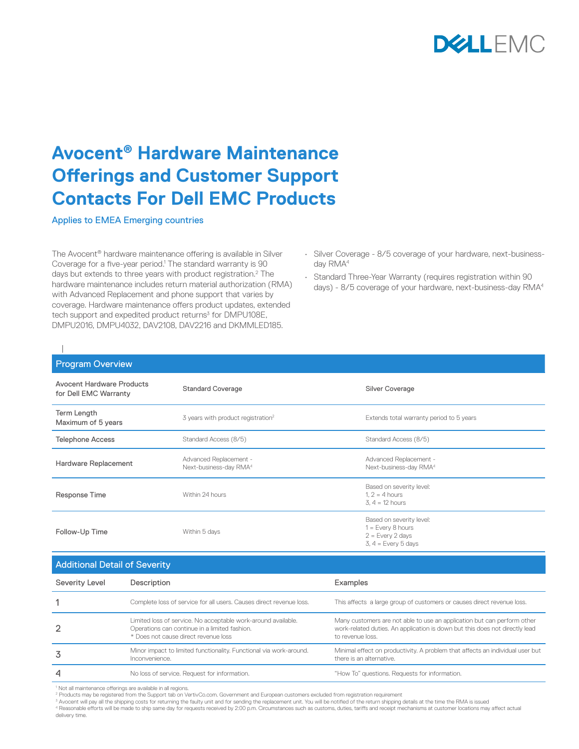

## **Avocent® Hardware Maintenance Offerings and Customer Support Contacts For Dell EMC Products**

Applies to EMEA Emerging countries

The Avocent® hardware maintenance offering is available in Silver Coverage for a five-year period.<sup>1</sup> The standard warranty is 90 days but extends to three years with product registration.<sup>2</sup> The hardware maintenance includes return material authorization (RMA) with Advanced Replacement and phone support that varies by coverage. Hardware maintenance offers product updates, extended tech support and expedited product returns<sup>3</sup> for DMPU108E, DMPU2016, DMPU4032, DAV2108, DAV2216 and DKMMLED185.

- Silver Coverage 8/5 coverage of your hardware, next-businessday RMA<sup>4</sup>
- Standard Three-Year Warranty (requires registration within 90 days) - 8/5 coverage of your hardware, next-business-day RMA4

| <b>Program Overview</b>                                   |             |                                                                     |                                                                                                |  |  |
|-----------------------------------------------------------|-------------|---------------------------------------------------------------------|------------------------------------------------------------------------------------------------|--|--|
| <b>Avocent Hardware Products</b><br>for Dell EMC Warranty |             | <b>Standard Coverage</b>                                            | <b>Silver Coverage</b>                                                                         |  |  |
| Term Length<br>Maximum of 5 years                         |             | 3 years with product registration <sup>2</sup>                      | Extends total warranty period to 5 years                                                       |  |  |
| <b>Telephone Access</b>                                   |             | Standard Access (8/5)                                               | Standard Access (8/5)                                                                          |  |  |
| Hardware Replacement                                      |             | Advanced Replacement -<br>Next-business-day RMA <sup>4</sup>        | Advanced Replacement -<br>Next-business-day RMA <sup>4</sup>                                   |  |  |
| Response Time                                             |             | Within 24 hours                                                     | Based on severity level:<br>$1.2 = 4$ hours<br>$3.4 = 12$ hours                                |  |  |
| Follow-Up Time                                            |             | Within 5 days                                                       | Based on severity level:<br>$1 = Every 8 hours$<br>$2 = Every 2 days$<br>$3, 4 = Every 5 days$ |  |  |
| <b>Additional Detail of Severity</b>                      |             |                                                                     |                                                                                                |  |  |
| <b>Severity Level</b>                                     | Description |                                                                     | Examples                                                                                       |  |  |
|                                                           |             | Complete loss of service for all users. Causes direct revenue loss. | This affects a large group of customers or causes direct revenue loss.                         |  |  |

|   | Limited loss of service. No acceptable work-around available.<br>Operations can continue in a limited fashion.<br>* Does not cause direct revenue loss | Many customers are not able to use an application but can perform other<br>work-related duties. An application is down but this does not directly lead<br>to revenue loss. |
|---|--------------------------------------------------------------------------------------------------------------------------------------------------------|----------------------------------------------------------------------------------------------------------------------------------------------------------------------------|
|   | Minor impact to limited functionality. Functional via work-around.<br>Inconvenience.                                                                   | Minimal effect on productivity. A problem that affects an individual user but<br>there is an alternative.                                                                  |
| 4 | No loss of service. Request for information.                                                                                                           | "How To" questions. Requests for information.                                                                                                                              |

<sup>1</sup> Not all maintenance offerings are available in all regions.

<sup>2</sup> Products may be registered from the Support tab on VertivCo.com. Government and European customers excluded from registration requirement<br><sup>3</sup> Avocent will pay all the shipping costs for returning the faulty unit and fo

4 Reasonable efforts will be made to ship same day for requests received by 2:00 p.m. Circumstances such as customs, duties, tariffs and receipt mechanisms at customer locations may affect actual

delivery time.